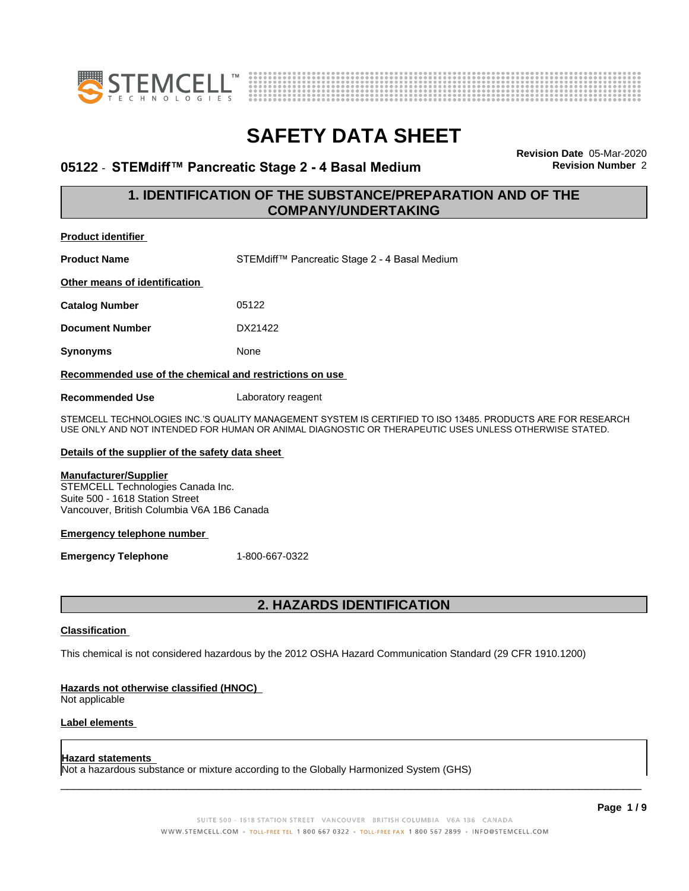



## **05122 • STEMdiff™ Pancreatic Stage 2 - 4 Basal Medium Revision Number** 2

**Revision Date** 05-Mar-2020

## **1. IDENTIFICATION OF THE SUBSTANCE/PREPARATION AND OF THE COMPANY/UNDERTAKING**

| Product identifier |  |
|--------------------|--|
|                    |  |

**Product Name** STEMdiff™ Pancreatic Stage 2 - 4 Basal Medium

**Other means of identification**

**Catalog Number** 05122

**Document Number** DX21422

**Synonyms** None

### **Recommended use of the chemical and restrictions on use**

**Recommended Use** Laboratory reagent

STEMCELL TECHNOLOGIES INC.'S QUALITY MANAGEMENT SYSTEM IS CERTIFIED TO ISO 13485. PRODUCTS ARE FOR RESEARCH USE ONLY AND NOT INTENDED FOR HUMAN OR ANIMAL DIAGNOSTIC OR THERAPEUTIC USES UNLESS OTHERWISE STATED.

### **Details of the supplier of the safety data sheet**

### **Manufacturer/Supplier**

STEMCELL Technologies Canada Inc. Suite 500 - 1618 Station Street Vancouver, British Columbia V6A 1B6 Canada

### **Emergency telephone number**

**Emergency Telephone** 1-800-667-0322

## **2. HAZARDS IDENTIFICATION**

### **Classification**

This chemical is not considered hazardous by the 2012 OSHA Hazard Communication Standard (29 CFR 1910.1200)

### **Hazards not otherwise classified (HNOC)**

Not applicable

### **Label elements**

### **Hazard statements**

Not a hazardous substance or mixture according to the Globally Harmonized System (GHS)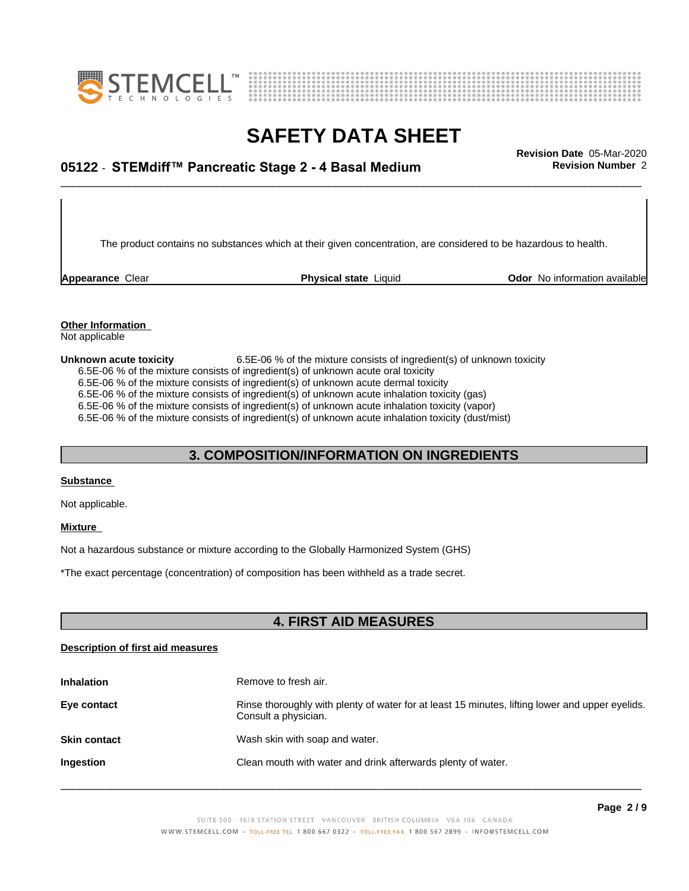



# \_\_\_\_\_\_\_\_\_\_\_\_\_\_\_\_\_\_\_\_\_\_\_\_\_\_\_\_\_\_\_\_\_\_\_\_\_\_\_\_\_\_\_\_\_\_\_\_\_\_\_\_\_\_\_\_\_\_\_\_\_\_\_\_\_\_\_\_\_\_\_\_\_\_\_\_\_\_\_\_\_\_\_\_\_\_\_\_\_\_\_\_\_ **Revision Date** 05-Mar-2020 **05122** - **STEMdiff™ PancreaticStage2-4BasalMedium Revision Number** 2

The product contains no substances which at their given concentration, are considered to be hazardous to health.

**Appearance** Clear **Physical state** Liquid **Odor No information available Appearance** Clear

#### **Other Information** Not applicable

**Unknown acute toxicity** 6.5E-06 % of the mixture consists of ingredient(s) of unknown toxicity 6.5E-06 % of the mixture consists of ingredient(s) of unknown acute oral toxicity 6.5E-06 % of the mixture consists of ingredient(s) of unknown acute dermal toxicity 6.5E-06 % of the mixture consists of ingredient(s) of unknown acute inhalation toxicity (gas) 6.5E-06 % of the mixture consists of ingredient(s) of unknown acute inhalation toxicity (vapor) 6.5E-06 % of the mixture consists of ingredient(s) of unknown acute inhalation toxicity (dust/mist)

## **3. COMPOSITION/INFORMATION ON INGREDIENTS**

### **Substance**

Not applicable.

### **Mixture**

Not a hazardous substance or mixture according to the Globally Harmonized System (GHS)

\*The exact percentage (concentration) ofcomposition has been withheld as a trade secret.

## **4. FIRST AID MEASURES**

### **Description of first aid measures**

| <b>Inhalation</b>   | Remove to fresh air.                                                                                                    |
|---------------------|-------------------------------------------------------------------------------------------------------------------------|
| Eye contact         | Rinse thoroughly with plenty of water for at least 15 minutes, lifting lower and upper eyelids.<br>Consult a physician. |
| <b>Skin contact</b> | Wash skin with soap and water.                                                                                          |
| Ingestion           | Clean mouth with water and drink afterwards plenty of water.                                                            |
|                     |                                                                                                                         |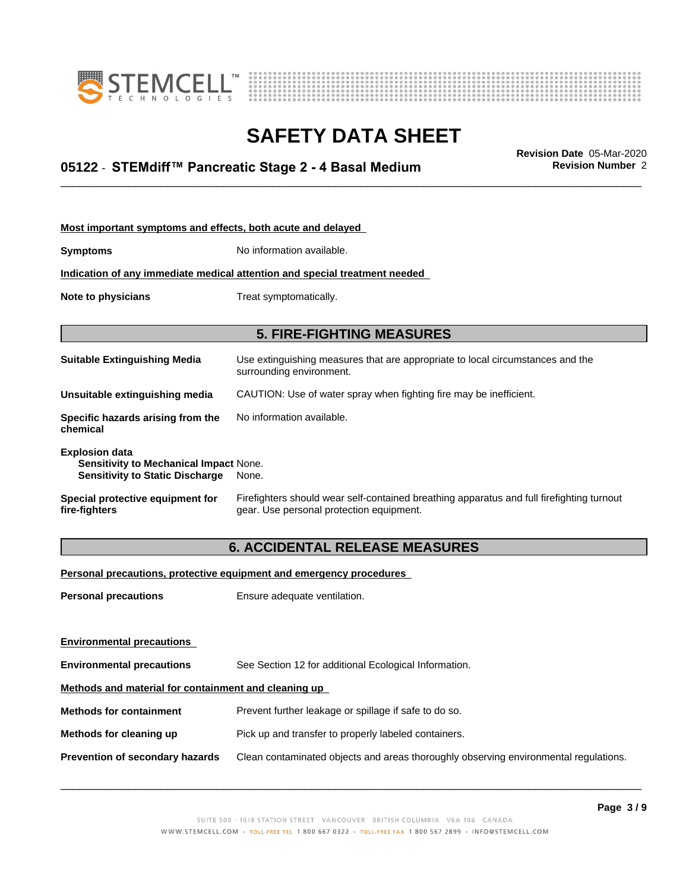



# \_\_\_\_\_\_\_\_\_\_\_\_\_\_\_\_\_\_\_\_\_\_\_\_\_\_\_\_\_\_\_\_\_\_\_\_\_\_\_\_\_\_\_\_\_\_\_\_\_\_\_\_\_\_\_\_\_\_\_\_\_\_\_\_\_\_\_\_\_\_\_\_\_\_\_\_\_\_\_\_\_\_\_\_\_\_\_\_\_\_\_\_\_ **Revision Date** 05-Mar-2020 **05122** - **STEMdiff™ PancreaticStage2-4BasalMedium Revision Number** 2

| Most important symptoms and effects, both acute and delayed                                               |                                                                                                                                       |
|-----------------------------------------------------------------------------------------------------------|---------------------------------------------------------------------------------------------------------------------------------------|
| Symptoms                                                                                                  | No information available.                                                                                                             |
|                                                                                                           | Indication of any immediate medical attention and special treatment needed                                                            |
| Note to physicians                                                                                        | Treat symptomatically.                                                                                                                |
|                                                                                                           |                                                                                                                                       |
|                                                                                                           | <b>5. FIRE-FIGHTING MEASURES</b>                                                                                                      |
| Suitable Extinguishing Media                                                                              | Use extinguishing measures that are appropriate to local circumstances and the<br>surrounding environment.                            |
| Unsuitable extinguishing media                                                                            | CAUTION: Use of water spray when fighting fire may be inefficient.                                                                    |
| Specific hazards arising from the<br>chemical                                                             | No information available.                                                                                                             |
| <b>Explosion data</b><br>Sensitivity to Mechanical Impact None.<br><b>Sensitivity to Static Discharge</b> | None.                                                                                                                                 |
| Special protective equipment for<br>fire-fighters                                                         | Firefighters should wear self-contained breathing apparatus and full firefighting turnout<br>gear. Use personal protection equipment. |

# **6. ACCIDENTAL RELEASE MEASURES**

**Personal precautions, protective equipment and emergency procedures**

**Personal precautions** Ensure adequate ventilation.

| <b>Environmental precautions</b>                     |                                                                                      |
|------------------------------------------------------|--------------------------------------------------------------------------------------|
| <b>Environmental precautions</b>                     | See Section 12 for additional Ecological Information.                                |
| Methods and material for containment and cleaning up |                                                                                      |
| <b>Methods for containment</b>                       | Prevent further leakage or spillage if safe to do so.                                |
| Methods for cleaning up                              | Pick up and transfer to properly labeled containers.                                 |
| Prevention of secondary hazards                      | Clean contaminated objects and areas thoroughly observing environmental regulations. |
|                                                      |                                                                                      |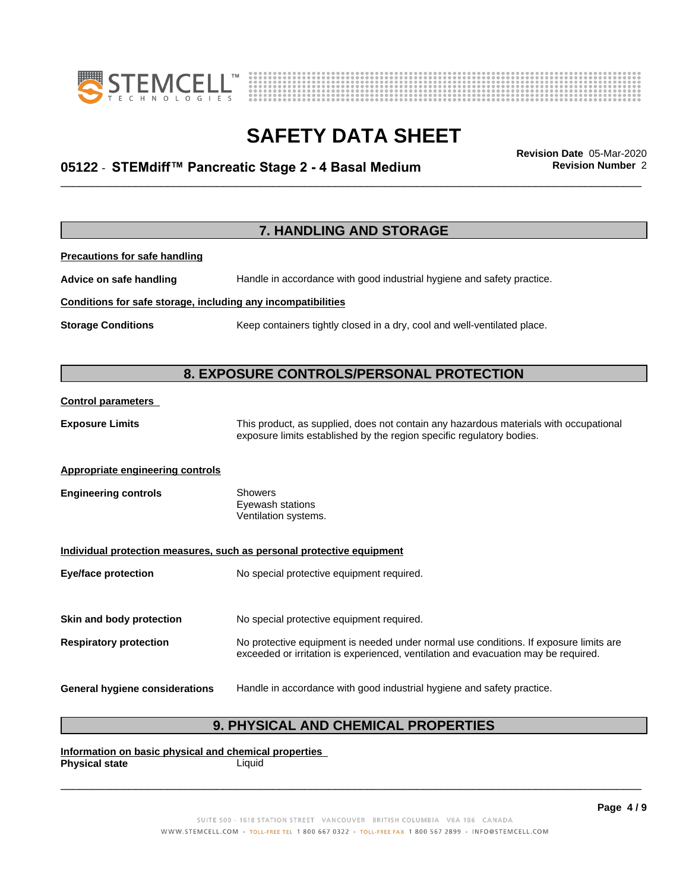



# \_\_\_\_\_\_\_\_\_\_\_\_\_\_\_\_\_\_\_\_\_\_\_\_\_\_\_\_\_\_\_\_\_\_\_\_\_\_\_\_\_\_\_\_\_\_\_\_\_\_\_\_\_\_\_\_\_\_\_\_\_\_\_\_\_\_\_\_\_\_\_\_\_\_\_\_\_\_\_\_\_\_\_\_\_\_\_\_\_\_\_\_\_ **Revision Date** 05-Mar-2020 **05122** - **STEMdiff™ PancreaticStage2-4BasalMedium Revision Number** 2

|                                                              | 7. HANDLING AND STORAGE                                                                                                                                                     |
|--------------------------------------------------------------|-----------------------------------------------------------------------------------------------------------------------------------------------------------------------------|
| <b>Precautions for safe handling</b>                         |                                                                                                                                                                             |
| Advice on safe handling                                      | Handle in accordance with good industrial hygiene and safety practice.                                                                                                      |
| Conditions for safe storage, including any incompatibilities |                                                                                                                                                                             |
| <b>Storage Conditions</b>                                    | Keep containers tightly closed in a dry, cool and well-ventilated place.                                                                                                    |
|                                                              |                                                                                                                                                                             |
|                                                              | 8. EXPOSURE CONTROLS/PERSONAL PROTECTION                                                                                                                                    |
| <b>Control parameters</b>                                    |                                                                                                                                                                             |
| <b>Exposure Limits</b>                                       | This product, as supplied, does not contain any hazardous materials with occupational<br>exposure limits established by the region specific regulatory bodies.              |
| <b>Appropriate engineering controls</b>                      |                                                                                                                                                                             |
| <b>Engineering controls</b>                                  | Showers<br>Eyewash stations<br>Ventilation systems.                                                                                                                         |
|                                                              | Individual protection measures, such as personal protective equipment                                                                                                       |
| <b>Eye/face protection</b>                                   | No special protective equipment required.                                                                                                                                   |
| Skin and body protection                                     | No special protective equipment required.                                                                                                                                   |
| <b>Respiratory protection</b>                                | No protective equipment is needed under normal use conditions. If exposure limits are<br>exceeded or irritation is experienced, ventilation and evacuation may be required. |
| <b>General hygiene considerations</b>                        | Handle in accordance with good industrial hygiene and safety practice.                                                                                                      |

# **9. PHYSICAL AND CHEMICAL PROPERTIES**

**Information on basic physical and chemical properties Physical state**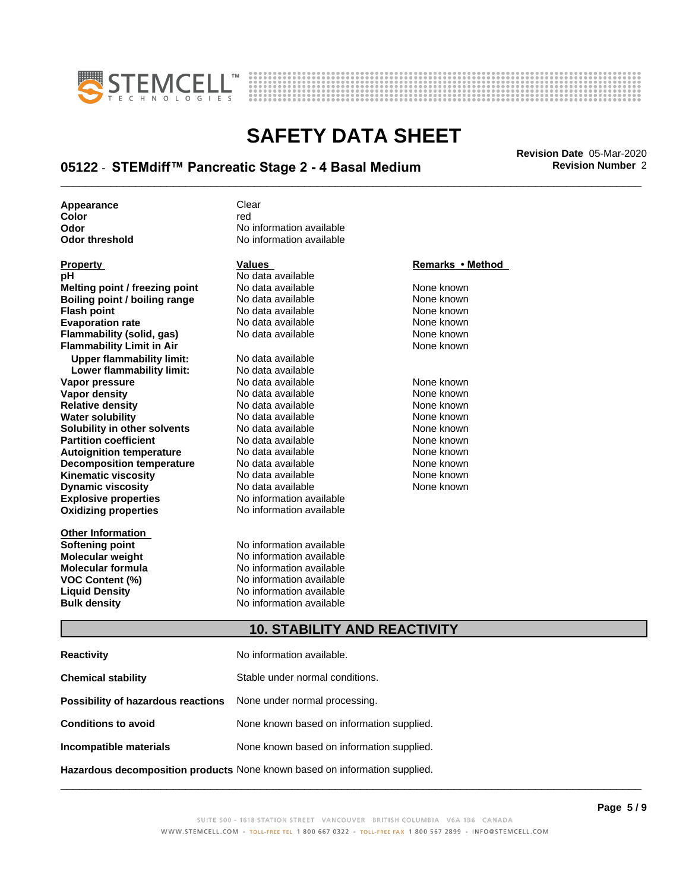



# \_\_\_\_\_\_\_\_\_\_\_\_\_\_\_\_\_\_\_\_\_\_\_\_\_\_\_\_\_\_\_\_\_\_\_\_\_\_\_\_\_\_\_\_\_\_\_\_\_\_\_\_\_\_\_\_\_\_\_\_\_\_\_\_\_\_\_\_\_\_\_\_\_\_\_\_\_\_\_\_\_\_\_\_\_\_\_\_\_\_\_\_\_ **Revision Date** 05-Mar-2020 **05122** - **STEMdiff™ PancreaticStage2-4BasalMedium Revision Number** 2

**Appearance** Clear<br> **Color** contract Color

| <b>Property</b>                  | <b>Values</b>            | Remarks • Method |
|----------------------------------|--------------------------|------------------|
| рH                               | No data available        |                  |
| Melting point / freezing point   | No data available        | None known       |
| Boiling point / boiling range    | No data available        | None known       |
| <b>Flash point</b>               | No data available        | None known       |
| <b>Evaporation rate</b>          | No data available        | None known       |
| Flammability (solid, gas)        | No data available        | None known       |
| <b>Flammability Limit in Air</b> |                          | None known       |
| <b>Upper flammability limit:</b> | No data available        |                  |
| Lower flammability limit:        | No data available        |                  |
| Vapor pressure                   | No data available        | None known       |
| Vapor density                    | No data available        | None known       |
| <b>Relative density</b>          | No data available        | None known       |
| <b>Water solubility</b>          | No data available        | None known       |
| Solubility in other solvents     | No data available        | None known       |
| <b>Partition coefficient</b>     | No data available        | None known       |
| <b>Autoignition temperature</b>  | No data available        | None known       |
| <b>Decomposition temperature</b> | No data available        | None known       |
| Kinematic viscosity              | No data available        | None known       |
| <b>Dynamic viscosity</b>         | No data available        | None known       |
| <b>Explosive properties</b>      | No information available |                  |
| <b>Oxidizing properties</b>      | No information available |                  |
| <b>Other Information</b>         |                          |                  |
| <b>Softening point</b>           | No information available |                  |
| Molecular weight                 | No information available |                  |
| <b>Molecular formula</b>         | No information available |                  |
| VOC Content (%)                  | No information available |                  |
| <b>Liauid Densitv</b>            | No information available |                  |

**Bulk density** No information available

**Color** red red **Color Odor** No information available<br> **Odor threshold** No information available **No information available** 

### **Remarks** • Method

## **10. STABILITY AND REACTIVITY**

| <b>Reactivity</b>                  | No information available.                                                  |
|------------------------------------|----------------------------------------------------------------------------|
| <b>Chemical stability</b>          | Stable under normal conditions.                                            |
| Possibility of hazardous reactions | None under normal processing.                                              |
| <b>Conditions to avoid</b>         | None known based on information supplied.                                  |
| Incompatible materials             | None known based on information supplied.                                  |
|                                    | Hazardous decomposition products None known based on information supplied. |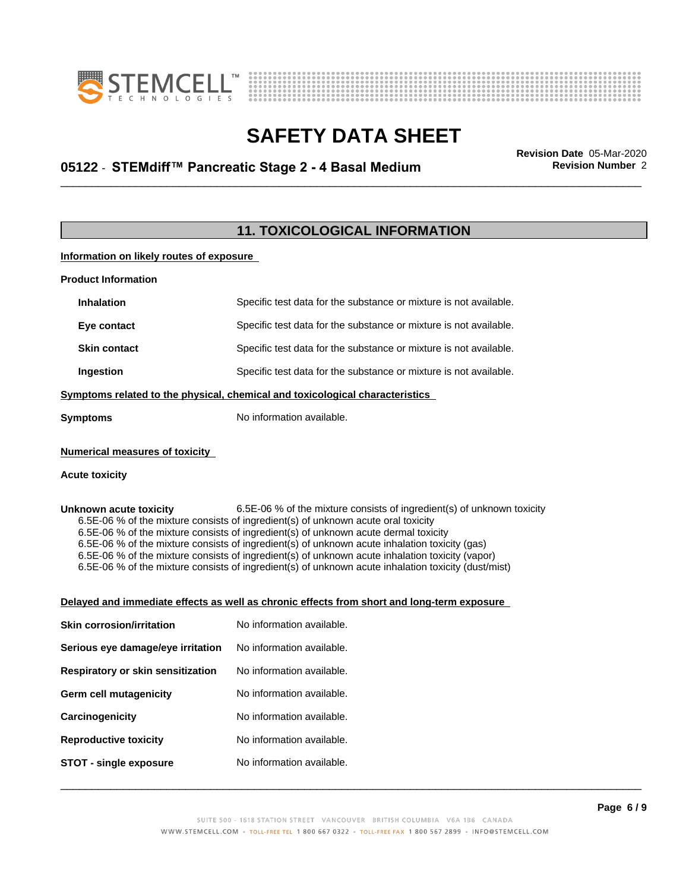



# \_\_\_\_\_\_\_\_\_\_\_\_\_\_\_\_\_\_\_\_\_\_\_\_\_\_\_\_\_\_\_\_\_\_\_\_\_\_\_\_\_\_\_\_\_\_\_\_\_\_\_\_\_\_\_\_\_\_\_\_\_\_\_\_\_\_\_\_\_\_\_\_\_\_\_\_\_\_\_\_\_\_\_\_\_\_\_\_\_\_\_\_\_ **Revision Date** 05-Mar-2020 **05122** - **STEMdiff™ PancreaticStage2-4BasalMedium Revision Number** 2

# **11. TOXICOLOGICAL INFORMATION**

## **Information on likely routes of exposure**

| <b>Product Information</b>            |                                                                                                                                                                                                                                                                                                                                                                                                                                                                                     |
|---------------------------------------|-------------------------------------------------------------------------------------------------------------------------------------------------------------------------------------------------------------------------------------------------------------------------------------------------------------------------------------------------------------------------------------------------------------------------------------------------------------------------------------|
| <b>Inhalation</b>                     | Specific test data for the substance or mixture is not available.                                                                                                                                                                                                                                                                                                                                                                                                                   |
| Eye contact                           | Specific test data for the substance or mixture is not available.                                                                                                                                                                                                                                                                                                                                                                                                                   |
| <b>Skin contact</b>                   | Specific test data for the substance or mixture is not available.                                                                                                                                                                                                                                                                                                                                                                                                                   |
| Ingestion                             | Specific test data for the substance or mixture is not available.                                                                                                                                                                                                                                                                                                                                                                                                                   |
|                                       | Symptoms related to the physical, chemical and toxicological characteristics                                                                                                                                                                                                                                                                                                                                                                                                        |
| <b>Symptoms</b>                       | No information available.                                                                                                                                                                                                                                                                                                                                                                                                                                                           |
| <b>Numerical measures of toxicity</b> |                                                                                                                                                                                                                                                                                                                                                                                                                                                                                     |
| <b>Acute toxicity</b>                 |                                                                                                                                                                                                                                                                                                                                                                                                                                                                                     |
|                                       |                                                                                                                                                                                                                                                                                                                                                                                                                                                                                     |
|                                       | 6.5E-06 % of the mixture consists of ingredient(s) of unknown acute oral toxicity<br>6.5E-06 % of the mixture consists of ingredient(s) of unknown acute dermal toxicity<br>6.5E-06 % of the mixture consists of ingredient(s) of unknown acute inhalation toxicity (gas)<br>6.5E-06 % of the mixture consists of ingredient(s) of unknown acute inhalation toxicity (vapor)<br>6.5E-06 % of the mixture consists of ingredient(s) of unknown acute inhalation toxicity (dust/mist) |
|                                       | Delayed and immediate effects as well as chronic effects from short and long-term exposure                                                                                                                                                                                                                                                                                                                                                                                          |
| <b>Skin corrosion/irritation</b>      | No information available.                                                                                                                                                                                                                                                                                                                                                                                                                                                           |
| Serious eye damage/eye irritation     | No information available.                                                                                                                                                                                                                                                                                                                                                                                                                                                           |
| Respiratory or skin sensitization     | No information available.                                                                                                                                                                                                                                                                                                                                                                                                                                                           |
| <b>Germ cell mutagenicity</b>         | No information available.                                                                                                                                                                                                                                                                                                                                                                                                                                                           |
| Carcinogenicity                       | No information available.                                                                                                                                                                                                                                                                                                                                                                                                                                                           |
| <b>Reproductive toxicity</b>          | No information available.                                                                                                                                                                                                                                                                                                                                                                                                                                                           |
| <b>STOT - single exposure</b>         | No information available.                                                                                                                                                                                                                                                                                                                                                                                                                                                           |
|                                       |                                                                                                                                                                                                                                                                                                                                                                                                                                                                                     |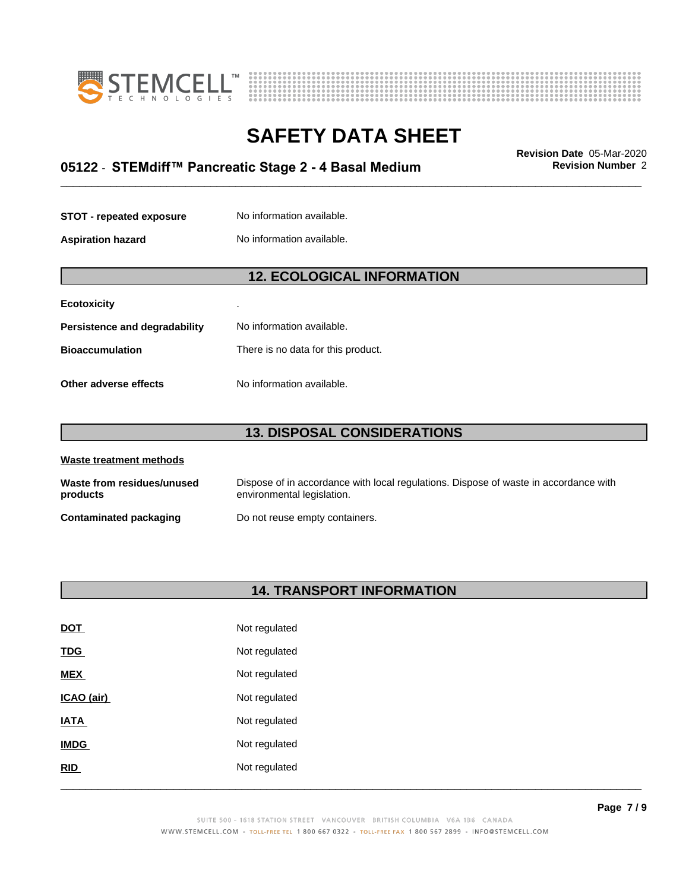



# \_\_\_\_\_\_\_\_\_\_\_\_\_\_\_\_\_\_\_\_\_\_\_\_\_\_\_\_\_\_\_\_\_\_\_\_\_\_\_\_\_\_\_\_\_\_\_\_\_\_\_\_\_\_\_\_\_\_\_\_\_\_\_\_\_\_\_\_\_\_\_\_\_\_\_\_\_\_\_\_\_\_\_\_\_\_\_\_\_\_\_\_\_ **Revision Date** 05-Mar-2020 **05122** - **STEMdiff™ PancreaticStage2-4BasalMedium Revision Number** 2

| <b>STOT - repeated exposure</b> | No information available. |
|---------------------------------|---------------------------|
| <b>Aspiration hazard</b>        | No information available. |

## **12. ECOLOGICAL INFORMATION**

| Ecotoxicity                   | ٠                                  |
|-------------------------------|------------------------------------|
| Persistence and degradability | No information available.          |
| <b>Bioaccumulation</b>        | There is no data for this product. |
| Other adverse effects         | No information available.          |

# **13. DISPOSAL CONSIDERATIONS**

| Waste treatment methods                |                                                                                                                    |
|----------------------------------------|--------------------------------------------------------------------------------------------------------------------|
| Waste from residues/unused<br>products | Dispose of in accordance with local regulations. Dispose of waste in accordance with<br>environmental legislation. |
| <b>Contaminated packaging</b>          | Do not reuse empty containers.                                                                                     |

# **14. TRANSPORT INFORMATION**

| RID         | Not regulated |  |
|-------------|---------------|--|
| <b>IMDG</b> | Not regulated |  |
| <b>IATA</b> | Not regulated |  |
| ICAO (air)  | Not regulated |  |
| <b>MEX</b>  | Not regulated |  |
| <b>TDG</b>  | Not regulated |  |
| <b>DOT</b>  | Not regulated |  |
|             |               |  |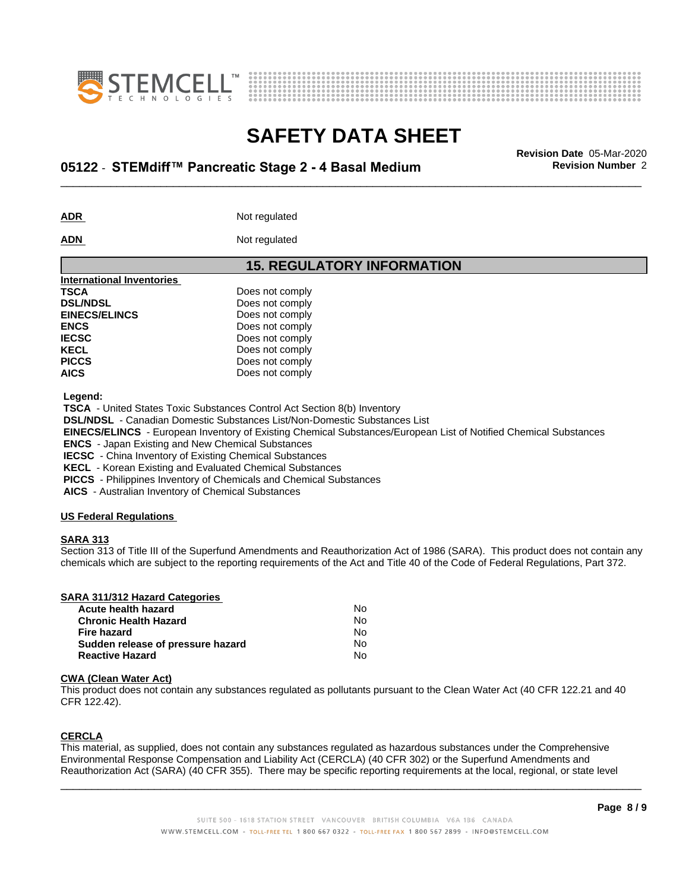



# \_\_\_\_\_\_\_\_\_\_\_\_\_\_\_\_\_\_\_\_\_\_\_\_\_\_\_\_\_\_\_\_\_\_\_\_\_\_\_\_\_\_\_\_\_\_\_\_\_\_\_\_\_\_\_\_\_\_\_\_\_\_\_\_\_\_\_\_\_\_\_\_\_\_\_\_\_\_\_\_\_\_\_\_\_\_\_\_\_\_\_\_\_ **Revision Date** 05-Mar-2020 **05122** - **STEMdiff™ PancreaticStage2-4BasalMedium Revision Number** 2

ADR **ADR** Not regulated

**ADN** Not regulated

**15. REGULATORY INFORMATION International Inventories TSCA** Does not comply<br> **DELINDSL** Does not comply **Does not comply<br>Does not comply EINECS/ELINCS ENCS** Does not comply **IECSC** Does not comply **KECL** Does not comply **PICCS** Does not comply **AICS** Does not comply

 **Legend:**

 **TSCA** - United States Toxic Substances Control Act Section 8(b) Inventory

 **DSL/NDSL** - Canadian Domestic Substances List/Non-Domestic Substances List

 **EINECS/ELINCS** - European Inventory of Existing Chemical Substances/European List of Notified Chemical Substances

 **ENCS** - Japan Existing and New Chemical Substances

 **IECSC** - China Inventory of Existing Chemical Substances

 **KECL** - Korean Existing and Evaluated Chemical Substances

 **PICCS** - Philippines Inventory of Chemicals and Chemical Substances

 **AICS** - Australian Inventory of Chemical Substances

### **US Federal Regulations**

### **SARA 313**

Section 313 of Title III of the Superfund Amendments and Reauthorization Act of 1986 (SARA). This product does not contain any chemicals which are subject to the reporting requirements of the Act and Title 40 of the Code of Federal Regulations, Part 372.

| SARA 311/312 Hazard Categories    |    |  |
|-----------------------------------|----|--|
| Acute health hazard               | N٥ |  |
| <b>Chronic Health Hazard</b>      | No |  |
| <b>Fire hazard</b>                | No |  |
| Sudden release of pressure hazard | No |  |
| <b>Reactive Hazard</b>            | No |  |

#### **CWA** (Clean Water Act)

This product does not contain any substances regulated as pollutants pursuant to the Clean Water Act (40 CFR 122.21 and 40 CFR 122.42).

### **CERCLA**

This material, as supplied, does not contain any substances regulated as hazardous substances under the Comprehensive Environmental Response Compensation and Liability Act (CERCLA) (40 CFR 302) or the Superfund Amendments and Reauthorization Act (SARA) (40 CFR 355). There may be specific reporting requirements at the local, regional, or state level